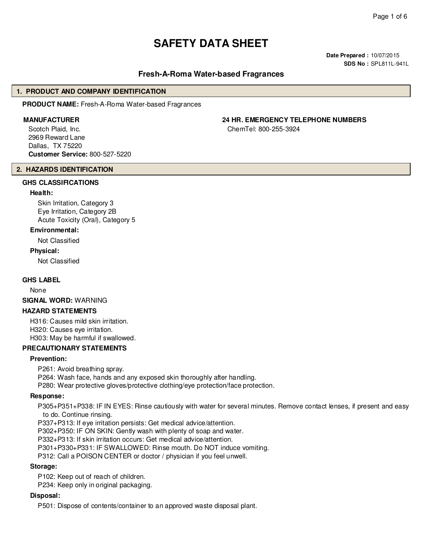# **SAFETY DATA SHEET**

**Date Prepared :** 10/07/2015 **SDS No :** SPL811L-941L

## **Fresh-A-Roma Water-based Fragrances**

#### **1. PRODUCT AND COMPANY IDENTIFICATION**

**PRODUCT NAME:** Fresh-A-Roma Water-based Fragrances

Scotch Plaid, Inc. 2969 Reward Lane Dallas, TX 75220 **Customer Service:** 800-527-5220

## **2. HAZARDS IDENTIFICATION**

## **GHS CLASSIFICATIONS**

#### **Health:**

Skin Irritation, Category 3 Eye Irritation, Category 2B Acute Toxicity (Oral), Category 5

#### **Environmental:**

Not Classified

#### **Physical:**

Not Classified

#### **GHS LABEL**

None

**SIGNAL WORD:** WARNING

#### **HAZARD STATEMENTS**

H316: Causes mild skin irritation. H320: Causes eye irritation.

H303: May be harmful if swallowed.

## **PRECAUTIONARY STATEMENTS**

#### **Prevention:**

P261: Avoid breathing spray.

P264: Wash face, hands and any exposed skin thoroughly after handling.

P280: Wear protective gloves/protective clothing/eye protection/face protection.

#### **Response:**

P305+P351+P338: IF IN EYES: Rinse cautiously with water for several minutes. Remove contact lenses, if present and easy to do. Continue rinsing.

P337+P313: If eye irritation persists: Get medical advice/attention.

P302+P350: IF ON SKIN: Gently wash with plenty of soap and water.

P332+P313: If skin irritation occurs: Get medical advice/attention.

P301+P330+P331: IF SWALLOWED: Rinse mouth. Do NOT induce vomiting.

P312: Call a POISON CENTER or doctor / physician if you feel unwell.

#### **Storage:**

P102: Keep out of reach of children.

P234: Keep only in original packaging.

#### **Disposal:**

P501: Dispose of contents/container to an approved waste disposal plant.

**MANUFACTURER 24 HR. EMERGENCY TELEPHONE NUMBERS**

ChemTel: 800-255-3924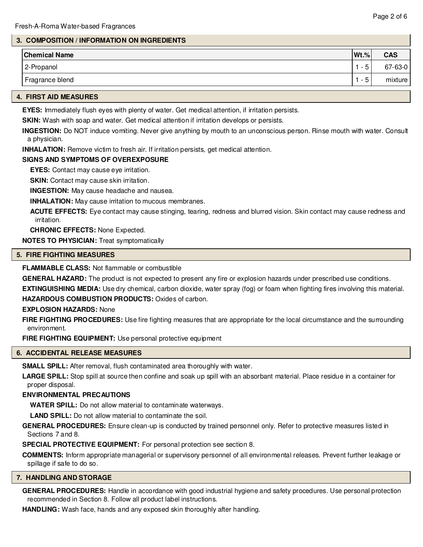## **3. COMPOSITION / INFORMATION ON INGREDIENTS**

| <b>Chemical Name</b> | $ \mathsf{Wt.}\% $                 | <b>CAS</b> |
|----------------------|------------------------------------|------------|
| 2-Propanol           | д<br>$\overline{\phantom{a}}$<br>J | 67-63-0    |
| Fragrance blend      | д<br>$\overline{\phantom{0}}$<br>J | mixture    |

#### **4. FIRST AID MEASURES**

**EYES:** Immediately flush eyes with plenty of water. Get medical attention, if irritation persists.

**SKIN:** Wash with soap and water. Get medical attention if irritation develops or persists.

**INGESTION:** Do NOT induce vomiting. Never give anything by mouth to an unconscious person. Rinse mouth with water. Consult a physician.

**INHALATION:** Remove victim to fresh air. If irritation persists, get medical attention.

#### **SIGNS AND SYMPTOMS OF OVEREXPOSURE**

**EYES:** Contact may cause eye irritation.

**SKIN:** Contact may cause skin irritation.

**INGESTION:** May cause headache and nausea.

**INHALATION:** May cause irritation to mucous membranes.

**ACUTE EFFECTS:** Eye contact may cause stinging, tearing, redness and blurred vision. Skin contact may cause redness and irritation.

**CHRONIC EFFECTS:** None Expected.

**NOTES TO PHYSICIAN:** Treat symptomatically

## **5. FIRE FIGHTING MEASURES**

#### **FLAMMABLE CLASS:** Not flammable or combustible

**GENERAL HAZARD:** The product is not expected to present any fire or explosion hazards under prescribed use conditions.

**EXTINGUISHING MEDIA:** Use dry chemical, carbon dioxide, water spray (fog) or foam when fighting fires involving this material. **HAZARDOUS COMBUSTION PRODUCTS:** Oxides of carbon.

#### **EXPLOSION HAZARDS:** None

**FIRE FIGHTING PROCEDURES:** Use fire fighting measures that are appropriate for the local circumstance and the surrounding environment.

**FIRE FIGHTING EQUIPMENT:** Use personal protective equipment

## **6. ACCIDENTAL RELEASE MEASURES**

**SMALL SPILL:** After removal, flush contaminated area thoroughly with water.

**LARGE SPILL:** Stop spill at source then confine and soak up spill with an absorbant material. Place residue in a container for proper disposal.

## **ENVIRONMENTAL PRECAUTIONS**

**WATER SPILL:** Do not allow material to contaminate waterways.

**LAND SPILL:** Do not allow material to contaminate the soil.

**GENERAL PROCEDURES:** Ensure clean-up is conducted by trained personnel only. Refer to protective measures listed in Sections 7 and 8.

**SPECIAL PROTECTIVE EQUIPMENT:** For personal protection see section 8.

**COMMENTS:** Inform appropriate managerial or supervisory personnel of all environmental releases. Prevent further leakage or spillage if safe to do so.

#### **7. HANDLING AND STORAGE**

**GENERAL PROCEDURES:** Handle in accordance with good industrial hygiene and safety procedures. Use personal protection recommended in Section 8. Follow all product label instructions.

**HANDLING:** Wash face, hands and any exposed skin thoroughly after handling.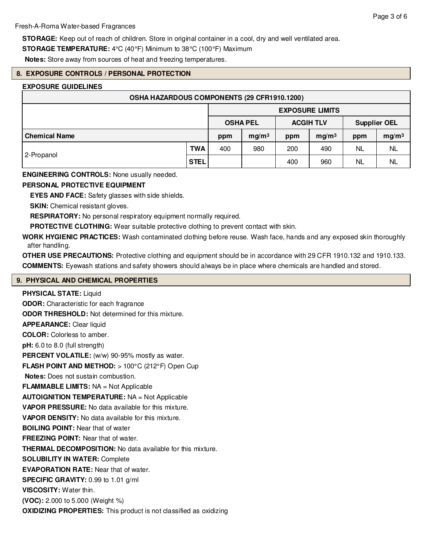**STORAGE:** Keep out of reach of children. Store in original container in a cool, dry and well ventilated area.

**STORAGE TEMPERATURE:** 4°C (40°F) Minimum to 38°C (100°F) Maximum

**Notes:** Store away from sources of heat and freezing temperatures.

## **8. EXPOSURE CONTROLS / PERSONAL PROTECTION**

## **EXPOSURE GUIDELINES**

| OSHA HAZARDOUS COMPONENTS (29 CFR1910.1200) |             |                 |                   |                  |                   |                     |                   |  |
|---------------------------------------------|-------------|-----------------|-------------------|------------------|-------------------|---------------------|-------------------|--|
| <b>EXPOSURE LIMITS</b>                      |             |                 |                   |                  |                   |                     |                   |  |
|                                             |             | <b>OSHA PEL</b> |                   | <b>ACGIH TLV</b> |                   | <b>Supplier OEL</b> |                   |  |
| <b>Chemical Name</b>                        |             | ppm             | mg/m <sup>3</sup> | ppm              | mg/m <sup>3</sup> | ppm                 | mg/m <sup>3</sup> |  |
| 2-Propanol                                  | <b>TWA</b>  | 400             | 980               | 200              | 490               | <b>NL</b>           | <b>NL</b>         |  |
|                                             | <b>STEL</b> |                 |                   | 400              | 960               | <b>NL</b>           | <b>NL</b>         |  |

## **ENGINEERING CONTROLS:** None usually needed.

## **PERSONAL PROTECTIVE EQUIPMENT**

**EYES AND FACE:** Safety glasses with side shields.

**SKIN:** Chemical resistant gloves.

**RESPIRATORY:** No personal respiratory equipment normally required.

**PROTECTIVE CLOTHING:** Wear suitable protective clothing to prevent contact with skin.

**WORK HYGIENIC PRACTICES:** Wash contaminated clothing before reuse. Wash face, hands and any exposed skin thoroughly after handling.

**OTHER USE PRECAUTIONS:** Protective clothing and equipment should be in accordance with 29 CFR 1910.132 and 1910.133. **COMMENTS:** Eyewash stations and safety showers should always be in place where chemicals are handled and stored.

## **9. PHYSICAL AND CHEMICAL PROPERTIES**

**PHYSICAL STATE:** Liquid **ODOR:** Characteristic for each fragrance **ODOR THRESHOLD:** Not determined for this mixture. **APPEARANCE:** Clear liquid **COLOR:** Colorless to amber. **pH:** 6.0 to 8.0 (full strength) PERCENT VOLATILE: (w/w) 90-95% mostly as water. **FLASH POINT AND METHOD:** > 100°C (212°F) Open Cup **Notes:** Does not sustain combustion. **FLAMMABLE LIMITS:** NA = Not Applicable **AUTOIGNITION TEMPERATURE:** NA = Not Applicable **VAPOR PRESSURE:** No data available for this mixture. **VAPOR DENSITY:** No data available for this mixture. **BOILING POINT:** Near that of water **FREEZING POINT:** Near that of water. **THERMAL DECOMPOSITION:** No data available for this mixture. **SOLUBILITY IN WATER:** Complete **EVAPORATION RATE:** Near that of water. **SPECIFIC GRAVITY:** 0.99 to 1.01 g/ml **VISCOSITY:** Water thin. **(VOC):** 2.000 to 5.000 (Weight %) **OXIDIZING PROPERTIES:** This product is not classified as oxidizing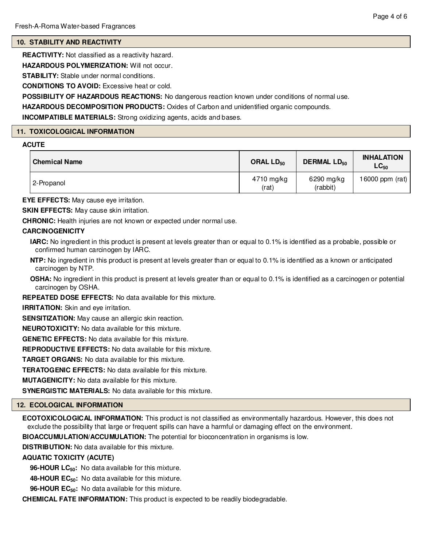## **10. STABILITY AND REACTIVITY**

**REACTIVITY:** Not classified as a reactivity hazard.

**HAZARDOUS POLYMERIZATION:** Will not occur.

**STABILITY:** Stable under normal conditions.

**CONDITIONS TO AVOID:** Excessive heat or cold.

**POSSIBILITY OF HAZARDOUS REACTIONS:** No dangerous reaction known under conditions of normal use.

**HAZARDOUS DECOMPOSITION PRODUCTS:** Oxides of Carbon and unidentified organic compounds.

**INCOMPATIBLE MATERIALS:** Strong oxidizing agents, acids and bases.

## **11. TOXICOLOGICAL INFORMATION**

## **ACUTE**

| <b>Chemical Name</b> | ORAL LD <sub>50</sub> | <b>DERMAL LD<sub>50</sub></b> | <b>INHALATION</b><br>$LC_{50}$ |  |
|----------------------|-----------------------|-------------------------------|--------------------------------|--|
| 2-Propanol           | 4710 mg/kg<br>(rat)   | 6290 mg/kg<br>(rabbit)        | 16000 ppm (rat)                |  |

**EYE EFFECTS:** May cause eye irritation.

**SKIN EFFECTS:** May cause skin irritation.

**CHRONIC:** Health injuries are not known or expected under normal use.

## **CARCINOGENICITY**

**IARC:** No ingredient in this product is present at levels greater than or equal to 0.1% is identified as a probable, possible or confirmed human carcinogen by IARC.

**NTP:** No ingredient in this product is present at levels greater than or equal to 0.1% is identified as a known or anticipated carcinogen by NTP.

**OSHA:** No ingredient in this product is present at levels greater than or equal to 0.1% is identified as a carcinogen or potential carcinogen by OSHA.

**REPEATED DOSE EFFECTS:** No data available for this mixture.

**IRRITATION:** Skin and eye irritation.

**SENSITIZATION:** May cause an allergic skin reaction.

**NEUROTOXICITY:** No data available for this mixture.

**GENETIC EFFECTS:** No data available for this mixture.

**REPRODUCTIVE EFFECTS:** No data available for this mixture.

**TARGET ORGANS:** No data available for this mixture.

**TERATOGENIC EFFECTS:** No data available for this mixture.

**MUTAGENICITY:** No data available for this mixture.

**SYNERGISTIC MATERIALS:** No data available for this mixture.

## **12. ECOLOGICAL INFORMATION**

**ECOTOXICOLOGICAL INFORMATION:** This product is not classified as environmentally hazardous. However, this does not exclude the possibility that large or frequent spills can have a harmful or damaging effect on the environment.

**BIOACCUMULATION/ACCUMULATION:** The potential for bioconcentration in organisms is low.

**DISTRIBUTION:** No data available for this mixture.

## **AQUATIC TOXICITY (ACUTE)**

**96-HOUR LC50:** No data available for this mixture.

**48-HOUR EC50:** No data available for this mixture.

**96-HOUR EC50:** No data available for this mixture.

**CHEMICAL FATE INFORMATION:** This product is expected to be readily biodegradable.